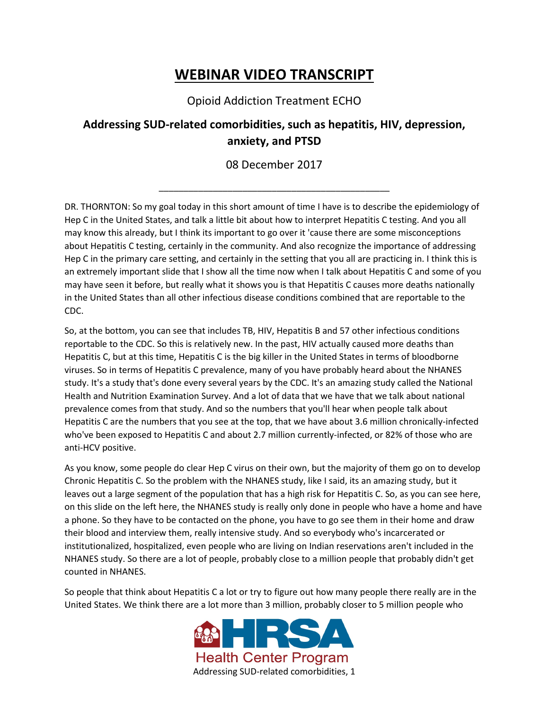## **WEBINAR VIDEO TRANSCRIPT**

Opioid Addiction Treatment ECHO

## **Addressing SUD-related comorbidities, such as hepatitis, HIV, depression, anxiety, and PTSD**

08 December 2017

\_\_\_\_\_\_\_\_\_\_\_\_\_\_\_\_\_\_\_\_\_\_\_\_\_\_\_\_\_\_\_\_\_\_\_\_\_\_\_\_\_\_\_\_\_\_\_

DR. THORNTON: So my goal today in this short amount of time I have is to describe the epidemiology of Hep C in the United States, and talk a little bit about how to interpret Hepatitis C testing. And you all may know this already, but I think its important to go over it 'cause there are some misconceptions about Hepatitis C testing, certainly in the community. And also recognize the importance of addressing Hep C in the primary care setting, and certainly in the setting that you all are practicing in. I think this is an extremely important slide that I show all the time now when I talk about Hepatitis C and some of you may have seen it before, but really what it shows you is that Hepatitis C causes more deaths nationally in the United States than all other infectious disease conditions combined that are reportable to the CDC.

So, at the bottom, you can see that includes TB, HIV, Hepatitis B and 57 other infectious conditions reportable to the CDC. So this is relatively new. In the past, HIV actually caused more deaths than Hepatitis C, but at this time, Hepatitis C is the big killer in the United States in terms of bloodborne viruses. So in terms of Hepatitis C prevalence, many of you have probably heard about the NHANES study. It's a study that's done every several years by the CDC. It's an amazing study called the National Health and Nutrition Examination Survey. And a lot of data that we have that we talk about national prevalence comes from that study. And so the numbers that you'll hear when people talk about Hepatitis C are the numbers that you see at the top, that we have about 3.6 million chronically-infected who've been exposed to Hepatitis C and about 2.7 million currently-infected, or 82% of those who are anti-HCV positive.

As you know, some people do clear Hep C virus on their own, but the majority of them go on to develop Chronic Hepatitis C. So the problem with the NHANES study, like I said, its an amazing study, but it leaves out a large segment of the population that has a high risk for Hepatitis C. So, as you can see here, on this slide on the left here, the NHANES study is really only done in people who have a home and have a phone. So they have to be contacted on the phone, you have to go see them in their home and draw their blood and interview them, really intensive study. And so everybody who's incarcerated or institutionalized, hospitalized, even people who are living on Indian reservations aren't included in the NHANES study. So there are a lot of people, probably close to a million people that probably didn't get counted in NHANES.

So people that think about Hepatitis C a lot or try to figure out how many people there really are in the United States. We think there are a lot more than 3 million, probably closer to 5 million people who

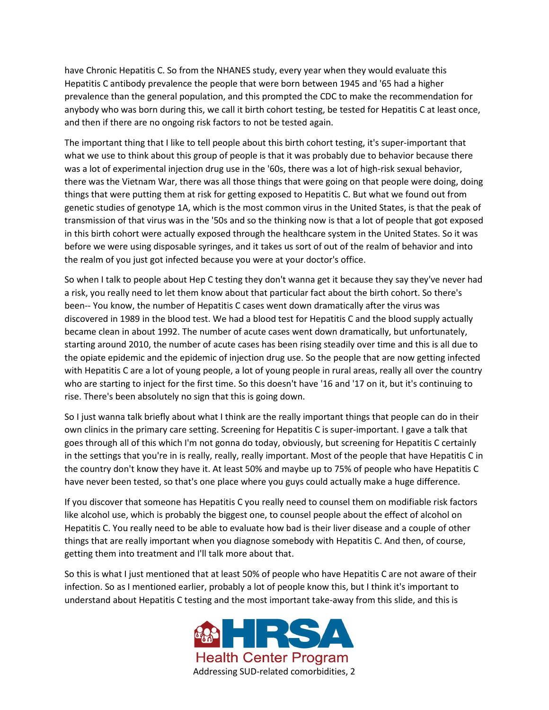have Chronic Hepatitis C. So from the NHANES study, every year when they would evaluate this Hepatitis C antibody prevalence the people that were born between 1945 and '65 had a higher prevalence than the general population, and this prompted the CDC to make the recommendation for anybody who was born during this, we call it birth cohort testing, be tested for Hepatitis C at least once, and then if there are no ongoing risk factors to not be tested again.

The important thing that I like to tell people about this birth cohort testing, it's super-important that what we use to think about this group of people is that it was probably due to behavior because there was a lot of experimental injection drug use in the '60s, there was a lot of high-risk sexual behavior, there was the Vietnam War, there was all those things that were going on that people were doing, doing things that were putting them at risk for getting exposed to Hepatitis C. But what we found out from genetic studies of genotype 1A, which is the most common virus in the United States, is that the peak of transmission of that virus was in the '50s and so the thinking now is that a lot of people that got exposed in this birth cohort were actually exposed through the healthcare system in the United States. So it was before we were using disposable syringes, and it takes us sort of out of the realm of behavior and into the realm of you just got infected because you were at your doctor's office.

So when I talk to people about Hep C testing they don't wanna get it because they say they've never had a risk, you really need to let them know about that particular fact about the birth cohort. So there's been-- You know, the number of Hepatitis C cases went down dramatically after the virus was discovered in 1989 in the blood test. We had a blood test for Hepatitis C and the blood supply actually became clean in about 1992. The number of acute cases went down dramatically, but unfortunately, starting around 2010, the number of acute cases has been rising steadily over time and this is all due to the opiate epidemic and the epidemic of injection drug use. So the people that are now getting infected with Hepatitis C are a lot of young people, a lot of young people in rural areas, really all over the country who are starting to inject for the first time. So this doesn't have '16 and '17 on it, but it's continuing to rise. There's been absolutely no sign that this is going down.

So I just wanna talk briefly about what I think are the really important things that people can do in their own clinics in the primary care setting. Screening for Hepatitis C is super-important. I gave a talk that goes through all of this which I'm not gonna do today, obviously, but screening for Hepatitis C certainly in the settings that you're in is really, really, really important. Most of the people that have Hepatitis C in the country don't know they have it. At least 50% and maybe up to 75% of people who have Hepatitis C have never been tested, so that's one place where you guys could actually make a huge difference.

If you discover that someone has Hepatitis C you really need to counsel them on modifiable risk factors like alcohol use, which is probably the biggest one, to counsel people about the effect of alcohol on Hepatitis C. You really need to be able to evaluate how bad is their liver disease and a couple of other things that are really important when you diagnose somebody with Hepatitis C. And then, of course, getting them into treatment and I'll talk more about that.

So this is what I just mentioned that at least 50% of people who have Hepatitis C are not aware of their infection. So as I mentioned earlier, probably a lot of people know this, but I think it's important to understand about Hepatitis C testing and the most important take-away from this slide, and this is

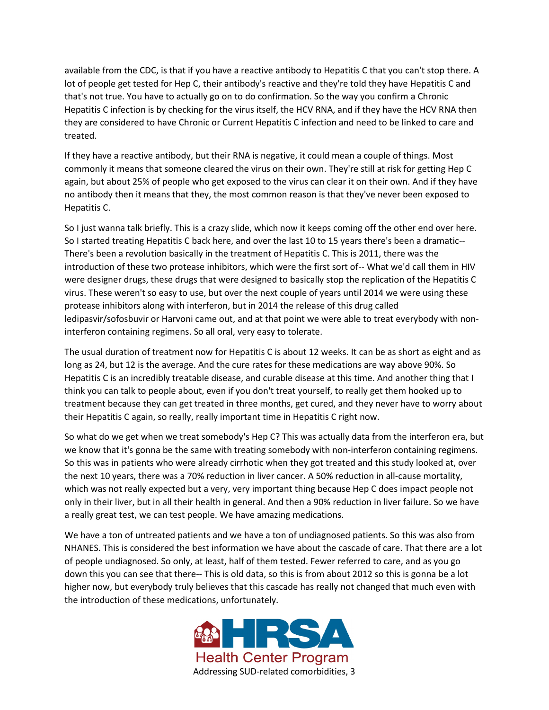available from the CDC, is that if you have a reactive antibody to Hepatitis C that you can't stop there. A lot of people get tested for Hep C, their antibody's reactive and they're told they have Hepatitis C and that's not true. You have to actually go on to do confirmation. So the way you confirm a Chronic Hepatitis C infection is by checking for the virus itself, the HCV RNA, and if they have the HCV RNA then they are considered to have Chronic or Current Hepatitis C infection and need to be linked to care and treated.

If they have a reactive antibody, but their RNA is negative, it could mean a couple of things. Most commonly it means that someone cleared the virus on their own. They're still at risk for getting Hep C again, but about 25% of people who get exposed to the virus can clear it on their own. And if they have no antibody then it means that they, the most common reason is that they've never been exposed to Hepatitis C.

So I just wanna talk briefly. This is a crazy slide, which now it keeps coming off the other end over here. So I started treating Hepatitis C back here, and over the last 10 to 15 years there's been a dramatic-- There's been a revolution basically in the treatment of Hepatitis C. This is 2011, there was the introduction of these two protease inhibitors, which were the first sort of-- What we'd call them in HIV were designer drugs, these drugs that were designed to basically stop the replication of the Hepatitis C virus. These weren't so easy to use, but over the next couple of years until 2014 we were using these protease inhibitors along with interferon, but in 2014 the release of this drug called ledipasvir/sofosbuvir or Harvoni came out, and at that point we were able to treat everybody with noninterferon containing regimens. So all oral, very easy to tolerate.

The usual duration of treatment now for Hepatitis C is about 12 weeks. It can be as short as eight and as long as 24, but 12 is the average. And the cure rates for these medications are way above 90%. So Hepatitis C is an incredibly treatable disease, and curable disease at this time. And another thing that I think you can talk to people about, even if you don't treat yourself, to really get them hooked up to treatment because they can get treated in three months, get cured, and they never have to worry about their Hepatitis C again, so really, really important time in Hepatitis C right now.

So what do we get when we treat somebody's Hep C? This was actually data from the interferon era, but we know that it's gonna be the same with treating somebody with non-interferon containing regimens. So this was in patients who were already cirrhotic when they got treated and this study looked at, over the next 10 years, there was a 70% reduction in liver cancer. A 50% reduction in all-cause mortality, which was not really expected but a very, very important thing because Hep C does impact people not only in their liver, but in all their health in general. And then a 90% reduction in liver failure. So we have a really great test, we can test people. We have amazing medications.

We have a ton of untreated patients and we have a ton of undiagnosed patients. So this was also from NHANES. This is considered the best information we have about the cascade of care. That there are a lot of people undiagnosed. So only, at least, half of them tested. Fewer referred to care, and as you go down this you can see that there-- This is old data, so this is from about 2012 so this is gonna be a lot higher now, but everybody truly believes that this cascade has really not changed that much even with the introduction of these medications, unfortunately.

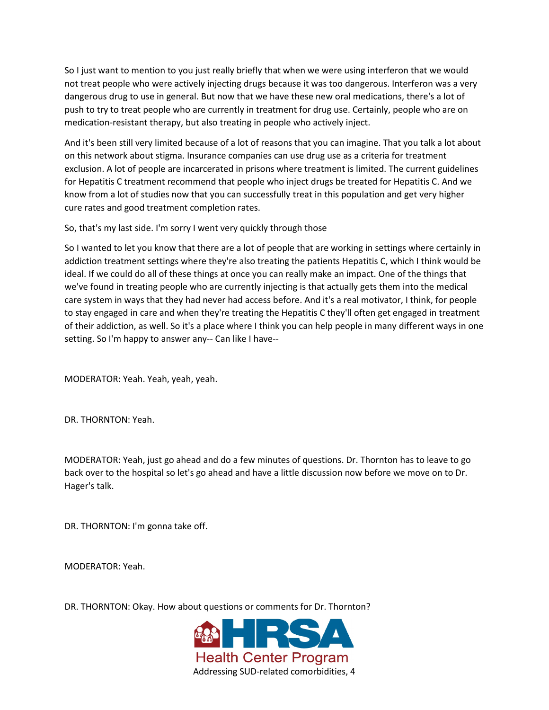So I just want to mention to you just really briefly that when we were using interferon that we would not treat people who were actively injecting drugs because it was too dangerous. Interferon was a very dangerous drug to use in general. But now that we have these new oral medications, there's a lot of push to try to treat people who are currently in treatment for drug use. Certainly, people who are on medication-resistant therapy, but also treating in people who actively inject.

And it's been still very limited because of a lot of reasons that you can imagine. That you talk a lot about on this network about stigma. Insurance companies can use drug use as a criteria for treatment exclusion. A lot of people are incarcerated in prisons where treatment is limited. The current guidelines for Hepatitis C treatment recommend that people who inject drugs be treated for Hepatitis C. And we know from a lot of studies now that you can successfully treat in this population and get very higher cure rates and good treatment completion rates.

So, that's my last side. I'm sorry I went very quickly through those

So I wanted to let you know that there are a lot of people that are working in settings where certainly in addiction treatment settings where they're also treating the patients Hepatitis C, which I think would be ideal. If we could do all of these things at once you can really make an impact. One of the things that we've found in treating people who are currently injecting is that actually gets them into the medical care system in ways that they had never had access before. And it's a real motivator, I think, for people to stay engaged in care and when they're treating the Hepatitis C they'll often get engaged in treatment of their addiction, as well. So it's a place where I think you can help people in many different ways in one setting. So I'm happy to answer any-- Can like I have--

MODERATOR: Yeah. Yeah, yeah, yeah.

DR. THORNTON: Yeah.

MODERATOR: Yeah, just go ahead and do a few minutes of questions. Dr. Thornton has to leave to go back over to the hospital so let's go ahead and have a little discussion now before we move on to Dr. Hager's talk.

DR. THORNTON: I'm gonna take off.

MODERATOR: Yeah.

DR. THORNTON: Okay. How about questions or comments for Dr. Thornton?

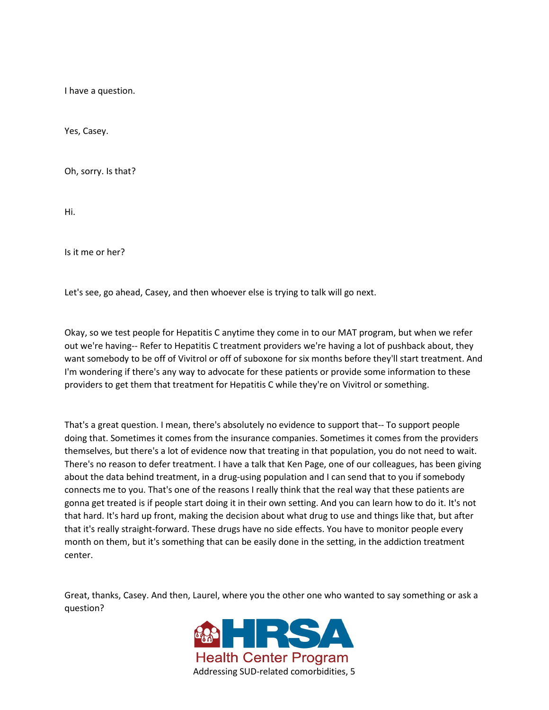I have a question.

Yes, Casey.

Oh, sorry. Is that?

Hi.

Is it me or her?

Let's see, go ahead, Casey, and then whoever else is trying to talk will go next.

Okay, so we test people for Hepatitis C anytime they come in to our MAT program, but when we refer out we're having-- Refer to Hepatitis C treatment providers we're having a lot of pushback about, they want somebody to be off of Vivitrol or off of suboxone for six months before they'll start treatment. And I'm wondering if there's any way to advocate for these patients or provide some information to these providers to get them that treatment for Hepatitis C while they're on Vivitrol or something.

That's a great question. I mean, there's absolutely no evidence to support that-- To support people doing that. Sometimes it comes from the insurance companies. Sometimes it comes from the providers themselves, but there's a lot of evidence now that treating in that population, you do not need to wait. There's no reason to defer treatment. I have a talk that Ken Page, one of our colleagues, has been giving about the data behind treatment, in a drug-using population and I can send that to you if somebody connects me to you. That's one of the reasons I really think that the real way that these patients are gonna get treated is if people start doing it in their own setting. And you can learn how to do it. It's not that hard. It's hard up front, making the decision about what drug to use and things like that, but after that it's really straight-forward. These drugs have no side effects. You have to monitor people every month on them, but it's something that can be easily done in the setting, in the addiction treatment center.

Great, thanks, Casey. And then, Laurel, where you the other one who wanted to say something or ask a question?

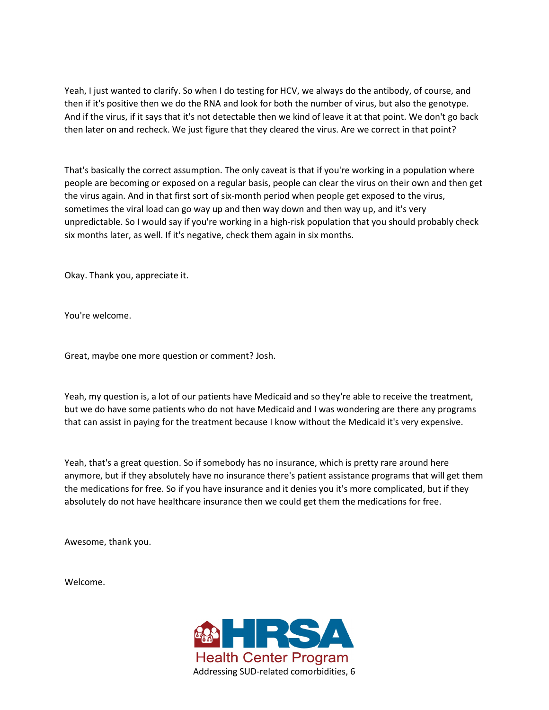Yeah, I just wanted to clarify. So when I do testing for HCV, we always do the antibody, of course, and then if it's positive then we do the RNA and look for both the number of virus, but also the genotype. And if the virus, if it says that it's not detectable then we kind of leave it at that point. We don't go back then later on and recheck. We just figure that they cleared the virus. Are we correct in that point?

That's basically the correct assumption. The only caveat is that if you're working in a population where people are becoming or exposed on a regular basis, people can clear the virus on their own and then get the virus again. And in that first sort of six-month period when people get exposed to the virus, sometimes the viral load can go way up and then way down and then way up, and it's very unpredictable. So I would say if you're working in a high-risk population that you should probably check six months later, as well. If it's negative, check them again in six months.

Okay. Thank you, appreciate it.

You're welcome.

Great, maybe one more question or comment? Josh.

Yeah, my question is, a lot of our patients have Medicaid and so they're able to receive the treatment, but we do have some patients who do not have Medicaid and I was wondering are there any programs that can assist in paying for the treatment because I know without the Medicaid it's very expensive.

Yeah, that's a great question. So if somebody has no insurance, which is pretty rare around here anymore, but if they absolutely have no insurance there's patient assistance programs that will get them the medications for free. So if you have insurance and it denies you it's more complicated, but if they absolutely do not have healthcare insurance then we could get them the medications for free.

Awesome, thank you.

Welcome.

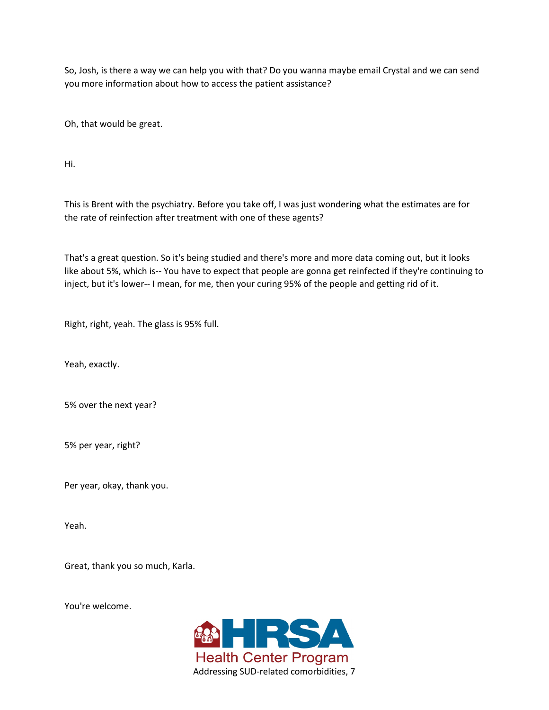So, Josh, is there a way we can help you with that? Do you wanna maybe email Crystal and we can send you more information about how to access the patient assistance?

Oh, that would be great.

Hi.

This is Brent with the psychiatry. Before you take off, I was just wondering what the estimates are for the rate of reinfection after treatment with one of these agents?

That's a great question. So it's being studied and there's more and more data coming out, but it looks like about 5%, which is-- You have to expect that people are gonna get reinfected if they're continuing to inject, but it's lower-- I mean, for me, then your curing 95% of the people and getting rid of it.

Right, right, yeah. The glass is 95% full.

Yeah, exactly.

5% over the next year?

5% per year, right?

Per year, okay, thank you.

Yeah.

Great, thank you so much, Karla.

You're welcome.

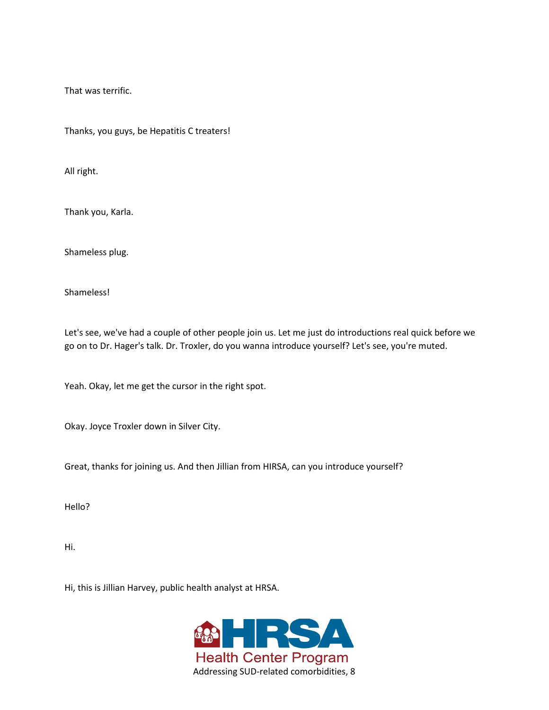That was terrific.

Thanks, you guys, be Hepatitis C treaters!

All right.

Thank you, Karla.

Shameless plug.

Shameless!

Let's see, we've had a couple of other people join us. Let me just do introductions real quick before we go on to Dr. Hager's talk. Dr. Troxler, do you wanna introduce yourself? Let's see, you're muted.

Yeah. Okay, let me get the cursor in the right spot.

Okay. Joyce Troxler down in Silver City.

Great, thanks for joining us. And then Jillian from HIRSA, can you introduce yourself?

Hello?

Hi.

Hi, this is Jillian Harvey, public health analyst at HRSA.

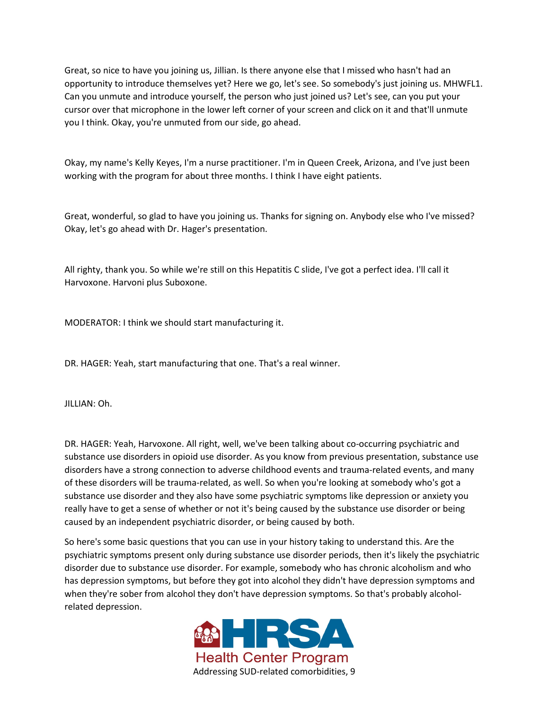Great, so nice to have you joining us, Jillian. Is there anyone else that I missed who hasn't had an opportunity to introduce themselves yet? Here we go, let's see. So somebody's just joining us. MHWFL1. Can you unmute and introduce yourself, the person who just joined us? Let's see, can you put your cursor over that microphone in the lower left corner of your screen and click on it and that'll unmute you I think. Okay, you're unmuted from our side, go ahead.

Okay, my name's Kelly Keyes, I'm a nurse practitioner. I'm in Queen Creek, Arizona, and I've just been working with the program for about three months. I think I have eight patients.

Great, wonderful, so glad to have you joining us. Thanks for signing on. Anybody else who I've missed? Okay, let's go ahead with Dr. Hager's presentation.

All righty, thank you. So while we're still on this Hepatitis C slide, I've got a perfect idea. I'll call it Harvoxone. Harvoni plus Suboxone.

MODERATOR: I think we should start manufacturing it.

DR. HAGER: Yeah, start manufacturing that one. That's a real winner.

JILLIAN: Oh.

DR. HAGER: Yeah, Harvoxone. All right, well, we've been talking about co-occurring psychiatric and substance use disorders in opioid use disorder. As you know from previous presentation, substance use disorders have a strong connection to adverse childhood events and trauma-related events, and many of these disorders will be trauma-related, as well. So when you're looking at somebody who's got a substance use disorder and they also have some psychiatric symptoms like depression or anxiety you really have to get a sense of whether or not it's being caused by the substance use disorder or being caused by an independent psychiatric disorder, or being caused by both.

So here's some basic questions that you can use in your history taking to understand this. Are the psychiatric symptoms present only during substance use disorder periods, then it's likely the psychiatric disorder due to substance use disorder. For example, somebody who has chronic alcoholism and who has depression symptoms, but before they got into alcohol they didn't have depression symptoms and when they're sober from alcohol they don't have depression symptoms. So that's probably alcoholrelated depression.

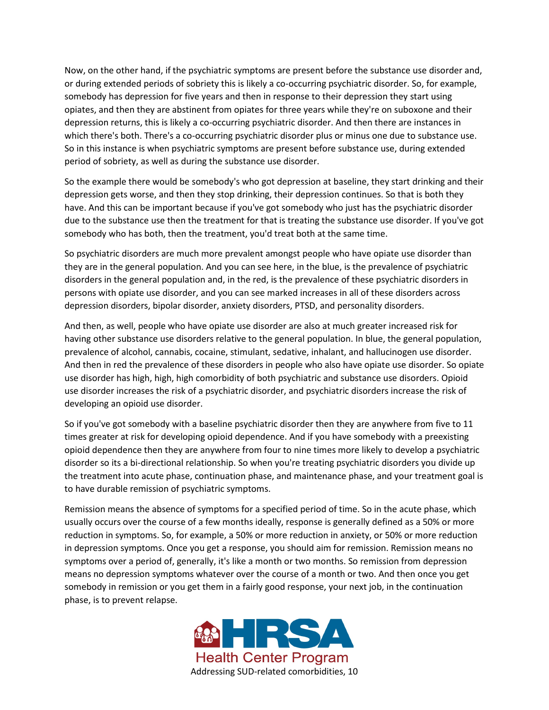Now, on the other hand, if the psychiatric symptoms are present before the substance use disorder and, or during extended periods of sobriety this is likely a co-occurring psychiatric disorder. So, for example, somebody has depression for five years and then in response to their depression they start using opiates, and then they are abstinent from opiates for three years while they're on suboxone and their depression returns, this is likely a co-occurring psychiatric disorder. And then there are instances in which there's both. There's a co-occurring psychiatric disorder plus or minus one due to substance use. So in this instance is when psychiatric symptoms are present before substance use, during extended period of sobriety, as well as during the substance use disorder.

So the example there would be somebody's who got depression at baseline, they start drinking and their depression gets worse, and then they stop drinking, their depression continues. So that is both they have. And this can be important because if you've got somebody who just has the psychiatric disorder due to the substance use then the treatment for that is treating the substance use disorder. If you've got somebody who has both, then the treatment, you'd treat both at the same time.

So psychiatric disorders are much more prevalent amongst people who have opiate use disorder than they are in the general population. And you can see here, in the blue, is the prevalence of psychiatric disorders in the general population and, in the red, is the prevalence of these psychiatric disorders in persons with opiate use disorder, and you can see marked increases in all of these disorders across depression disorders, bipolar disorder, anxiety disorders, PTSD, and personality disorders.

And then, as well, people who have opiate use disorder are also at much greater increased risk for having other substance use disorders relative to the general population. In blue, the general population, prevalence of alcohol, cannabis, cocaine, stimulant, sedative, inhalant, and hallucinogen use disorder. And then in red the prevalence of these disorders in people who also have opiate use disorder. So opiate use disorder has high, high, high comorbidity of both psychiatric and substance use disorders. Opioid use disorder increases the risk of a psychiatric disorder, and psychiatric disorders increase the risk of developing an opioid use disorder.

So if you've got somebody with a baseline psychiatric disorder then they are anywhere from five to 11 times greater at risk for developing opioid dependence. And if you have somebody with a preexisting opioid dependence then they are anywhere from four to nine times more likely to develop a psychiatric disorder so its a bi-directional relationship. So when you're treating psychiatric disorders you divide up the treatment into acute phase, continuation phase, and maintenance phase, and your treatment goal is to have durable remission of psychiatric symptoms.

Remission means the absence of symptoms for a specified period of time. So in the acute phase, which usually occurs over the course of a few months ideally, response is generally defined as a 50% or more reduction in symptoms. So, for example, a 50% or more reduction in anxiety, or 50% or more reduction in depression symptoms. Once you get a response, you should aim for remission. Remission means no symptoms over a period of, generally, it's like a month or two months. So remission from depression means no depression symptoms whatever over the course of a month or two. And then once you get somebody in remission or you get them in a fairly good response, your next job, in the continuation phase, is to prevent relapse.

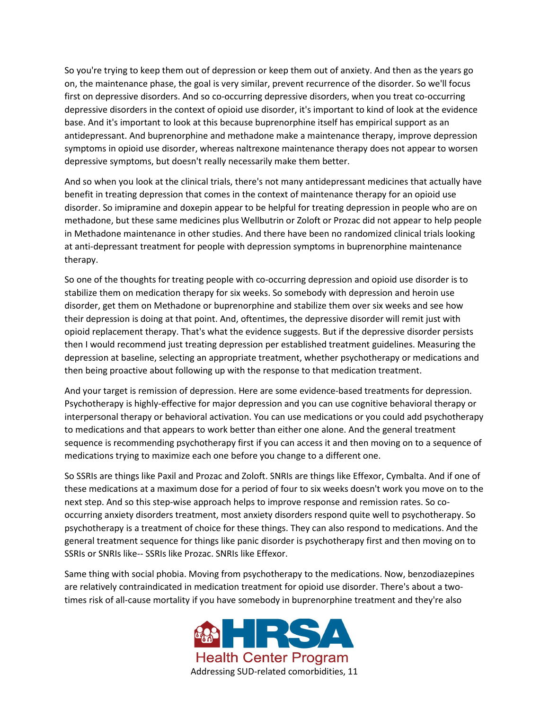So you're trying to keep them out of depression or keep them out of anxiety. And then as the years go on, the maintenance phase, the goal is very similar, prevent recurrence of the disorder. So we'll focus first on depressive disorders. And so co-occurring depressive disorders, when you treat co-occurring depressive disorders in the context of opioid use disorder, it's important to kind of look at the evidence base. And it's important to look at this because buprenorphine itself has empirical support as an antidepressant. And buprenorphine and methadone make a maintenance therapy, improve depression symptoms in opioid use disorder, whereas naltrexone maintenance therapy does not appear to worsen depressive symptoms, but doesn't really necessarily make them better.

And so when you look at the clinical trials, there's not many antidepressant medicines that actually have benefit in treating depression that comes in the context of maintenance therapy for an opioid use disorder. So imipramine and doxepin appear to be helpful for treating depression in people who are on methadone, but these same medicines plus Wellbutrin or Zoloft or Prozac did not appear to help people in Methadone maintenance in other studies. And there have been no randomized clinical trials looking at anti-depressant treatment for people with depression symptoms in buprenorphine maintenance therapy.

So one of the thoughts for treating people with co-occurring depression and opioid use disorder is to stabilize them on medication therapy for six weeks. So somebody with depression and heroin use disorder, get them on Methadone or buprenorphine and stabilize them over six weeks and see how their depression is doing at that point. And, oftentimes, the depressive disorder will remit just with opioid replacement therapy. That's what the evidence suggests. But if the depressive disorder persists then I would recommend just treating depression per established treatment guidelines. Measuring the depression at baseline, selecting an appropriate treatment, whether psychotherapy or medications and then being proactive about following up with the response to that medication treatment.

And your target is remission of depression. Here are some evidence-based treatments for depression. Psychotherapy is highly-effective for major depression and you can use cognitive behavioral therapy or interpersonal therapy or behavioral activation. You can use medications or you could add psychotherapy to medications and that appears to work better than either one alone. And the general treatment sequence is recommending psychotherapy first if you can access it and then moving on to a sequence of medications trying to maximize each one before you change to a different one.

So SSRIs are things like Paxil and Prozac and Zoloft. SNRIs are things like Effexor, Cymbalta. And if one of these medications at a maximum dose for a period of four to six weeks doesn't work you move on to the next step. And so this step-wise approach helps to improve response and remission rates. So cooccurring anxiety disorders treatment, most anxiety disorders respond quite well to psychotherapy. So psychotherapy is a treatment of choice for these things. They can also respond to medications. And the general treatment sequence for things like panic disorder is psychotherapy first and then moving on to SSRIs or SNRIs like-- SSRIs like Prozac. SNRIs like Effexor.

Same thing with social phobia. Moving from psychotherapy to the medications. Now, benzodiazepines are relatively contraindicated in medication treatment for opioid use disorder. There's about a twotimes risk of all-cause mortality if you have somebody in buprenorphine treatment and they're also

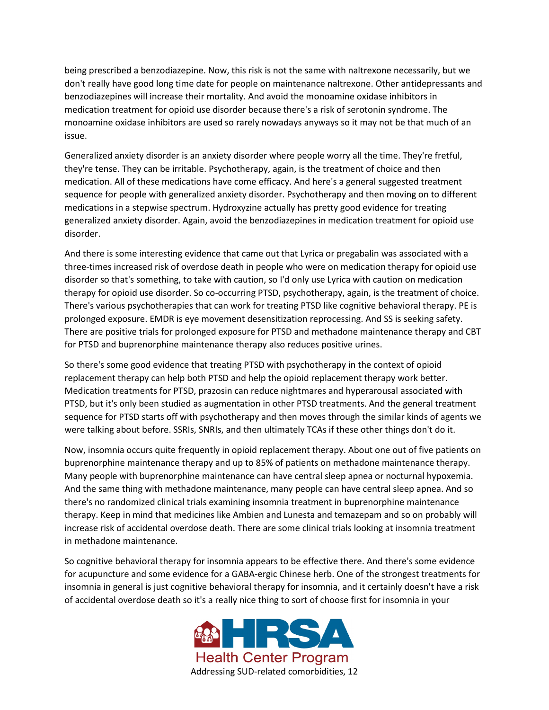being prescribed a benzodiazepine. Now, this risk is not the same with naltrexone necessarily, but we don't really have good long time date for people on maintenance naltrexone. Other antidepressants and benzodiazepines will increase their mortality. And avoid the monoamine oxidase inhibitors in medication treatment for opioid use disorder because there's a risk of serotonin syndrome. The monoamine oxidase inhibitors are used so rarely nowadays anyways so it may not be that much of an issue.

Generalized anxiety disorder is an anxiety disorder where people worry all the time. They're fretful, they're tense. They can be irritable. Psychotherapy, again, is the treatment of choice and then medication. All of these medications have come efficacy. And here's a general suggested treatment sequence for people with generalized anxiety disorder. Psychotherapy and then moving on to different medications in a stepwise spectrum. Hydroxyzine actually has pretty good evidence for treating generalized anxiety disorder. Again, avoid the benzodiazepines in medication treatment for opioid use disorder.

And there is some interesting evidence that came out that Lyrica or pregabalin was associated with a three-times increased risk of overdose death in people who were on medication therapy for opioid use disorder so that's something, to take with caution, so I'd only use Lyrica with caution on medication therapy for opioid use disorder. So co-occurring PTSD, psychotherapy, again, is the treatment of choice. There's various psychotherapies that can work for treating PTSD like cognitive behavioral therapy. PE is prolonged exposure. EMDR is eye movement desensitization reprocessing. And SS is seeking safety. There are positive trials for prolonged exposure for PTSD and methadone maintenance therapy and CBT for PTSD and buprenorphine maintenance therapy also reduces positive urines.

So there's some good evidence that treating PTSD with psychotherapy in the context of opioid replacement therapy can help both PTSD and help the opioid replacement therapy work better. Medication treatments for PTSD, prazosin can reduce nightmares and hyperarousal associated with PTSD, but it's only been studied as augmentation in other PTSD treatments. And the general treatment sequence for PTSD starts off with psychotherapy and then moves through the similar kinds of agents we were talking about before. SSRIs, SNRIs, and then ultimately TCAs if these other things don't do it.

Now, insomnia occurs quite frequently in opioid replacement therapy. About one out of five patients on buprenorphine maintenance therapy and up to 85% of patients on methadone maintenance therapy. Many people with buprenorphine maintenance can have central sleep apnea or nocturnal hypoxemia. And the same thing with methadone maintenance, many people can have central sleep apnea. And so there's no randomized clinical trials examining insomnia treatment in buprenorphine maintenance therapy. Keep in mind that medicines like Ambien and Lunesta and temazepam and so on probably will increase risk of accidental overdose death. There are some clinical trials looking at insomnia treatment in methadone maintenance.

So cognitive behavioral therapy for insomnia appears to be effective there. And there's some evidence for acupuncture and some evidence for a GABA-ergic Chinese herb. One of the strongest treatments for insomnia in general is just cognitive behavioral therapy for insomnia, and it certainly doesn't have a risk of accidental overdose death so it's a really nice thing to sort of choose first for insomnia in your

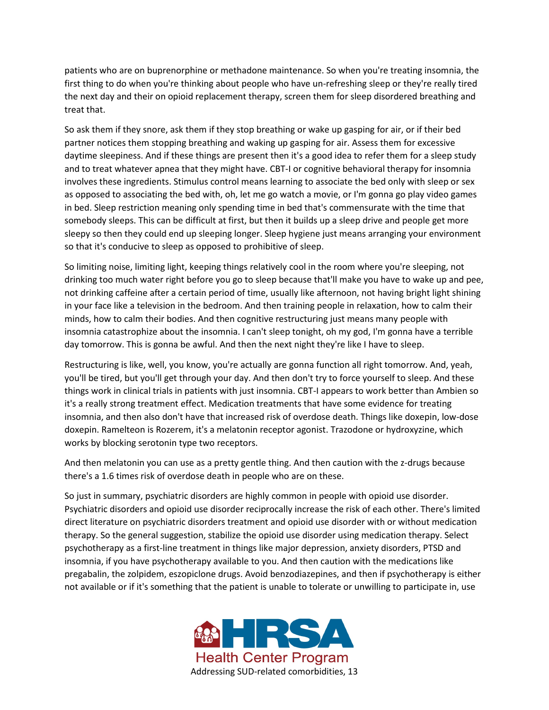patients who are on buprenorphine or methadone maintenance. So when you're treating insomnia, the first thing to do when you're thinking about people who have un-refreshing sleep or they're really tired the next day and their on opioid replacement therapy, screen them for sleep disordered breathing and treat that.

So ask them if they snore, ask them if they stop breathing or wake up gasping for air, or if their bed partner notices them stopping breathing and waking up gasping for air. Assess them for excessive daytime sleepiness. And if these things are present then it's a good idea to refer them for a sleep study and to treat whatever apnea that they might have. CBT-I or cognitive behavioral therapy for insomnia involves these ingredients. Stimulus control means learning to associate the bed only with sleep or sex as opposed to associating the bed with, oh, let me go watch a movie, or I'm gonna go play video games in bed. Sleep restriction meaning only spending time in bed that's commensurate with the time that somebody sleeps. This can be difficult at first, but then it builds up a sleep drive and people get more sleepy so then they could end up sleeping longer. Sleep hygiene just means arranging your environment so that it's conducive to sleep as opposed to prohibitive of sleep.

So limiting noise, limiting light, keeping things relatively cool in the room where you're sleeping, not drinking too much water right before you go to sleep because that'll make you have to wake up and pee, not drinking caffeine after a certain period of time, usually like afternoon, not having bright light shining in your face like a television in the bedroom. And then training people in relaxation, how to calm their minds, how to calm their bodies. And then cognitive restructuring just means many people with insomnia catastrophize about the insomnia. I can't sleep tonight, oh my god, I'm gonna have a terrible day tomorrow. This is gonna be awful. And then the next night they're like I have to sleep.

Restructuring is like, well, you know, you're actually are gonna function all right tomorrow. And, yeah, you'll be tired, but you'll get through your day. And then don't try to force yourself to sleep. And these things work in clinical trials in patients with just insomnia. CBT-I appears to work better than Ambien so it's a really strong treatment effect. Medication treatments that have some evidence for treating insomnia, and then also don't have that increased risk of overdose death. Things like doxepin, low-dose doxepin. Ramelteon is Rozerem, it's a melatonin receptor agonist. Trazodone or hydroxyzine, which works by blocking serotonin type two receptors.

And then melatonin you can use as a pretty gentle thing. And then caution with the z-drugs because there's a 1.6 times risk of overdose death in people who are on these.

So just in summary, psychiatric disorders are highly common in people with opioid use disorder. Psychiatric disorders and opioid use disorder reciprocally increase the risk of each other. There's limited direct literature on psychiatric disorders treatment and opioid use disorder with or without medication therapy. So the general suggestion, stabilize the opioid use disorder using medication therapy. Select psychotherapy as a first-line treatment in things like major depression, anxiety disorders, PTSD and insomnia, if you have psychotherapy available to you. And then caution with the medications like pregabalin, the zolpidem, eszopiclone drugs. Avoid benzodiazepines, and then if psychotherapy is either not available or if it's something that the patient is unable to tolerate or unwilling to participate in, use